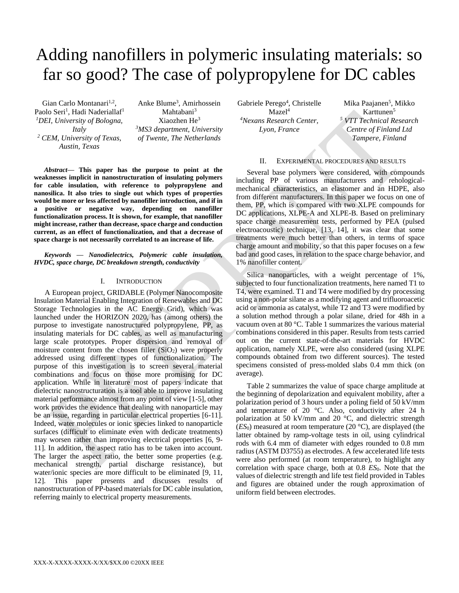# Adding nanofillers in polymeric insulating materials: so far so good? The case of polypropylene for DC cables

Gian Carlo Montanari<sup>1,2</sup>, Paolo Seri<sup>1</sup>, Hadi Naderiallaf<sup>1</sup> *<sup>1</sup>DEI, University of Bologna, Italy <sup>2</sup> CEM, University of Texas, Austin, Texas*

Anke Blume<sup>3</sup> , Amirhossein Mahtabani<sup>3</sup> Xiaozhen He<sup>3</sup> *<sup>3</sup>MS3 department, University of Twente, The Netherlands*

*Abstract***— This paper has the purpose to point at the weaknesses implicit in nanostructuration of insulating polymers for cable insulation, with reference to polypropylene and nanosilica. It also tries to single out which types of properties would be more or less affected by nanofiller introduction, and if in a positive or negative way, depending on nanofiller functionalization process. It is shown, for example, that nanofiller might increase, rather than decrease, space charge and conduction current, as an effect of functionalization, and that a decrease of space charge is not necessarily correlated to an increase of life.**

*Keywords — Nanodielectrics, Polymeric cable insulation, HVDC, space charge, DC breakdown strength, conductivity*

## I. INTRODUCTION

A European project, GRIDABLE (Polymer Nanocomposite Insulation Material Enabling Integration of Renewables and DC Storage Technologies in the AC Energy Grid), which was launched under the HORIZON 2020, has (among others) the purpose to investigate nanostructured polypropylene, PP, as insulating materials for DC cables, as well as manufacturing large scale prototypes. Proper dispersion and removal of moisture content from the chosen filler  $(SiO<sub>2</sub>)$  were properly addressed using different types of functionalization. The purpose of this investigation is to screen several material combinations and focus on those more promising for DC application. While in literature most of papers indicate that dielectric nanostructuration is a tool able to improve insulating material performance almost from any point of view [1-5], other work provides the evidence that dealing with nanoparticle may be an issue, regarding in particular electrical properties [6-11]. Indeed, water molecules or ionic species linked to nanoparticle surfaces (difficult to eliminate even with dedicate treatments) may worsen rather than improving electrical properties [6, 9- 11]. In addition, the aspect ratio has to be taken into account. The larger the aspect ratio, the better some properties (e.g. mechanical strength, partial discharge resistance), but water/ionic species are more difficult to be eliminated [9, 11, 12]. This paper presents and discusses results of nanostructuration of PP-based materials for DC cable insulation, referring mainly to electrical property measurements.

Gabriele Perego<sup>4</sup>, Christelle  $Maze<sub>1</sub><sup>4</sup>$ *<sup>4</sup>Nexans Research Center, Lyon, France*

Mika Paajanen<sup>5</sup>, Mikko Karttunen<sup>5</sup> *<sup>5</sup> VTT Technical Research Centre of Finland Ltd Tampere, Finland*

### II. EXPERIMENTAL PROCEDURES AND RESULTS

Several base polymers were considered, with compounds including PP of various manufacturers and rehologicalmechanical characteristics, an elastomer and an HDPE, also from different manufacturers. In this paper we focus on one of them, PP, which is compared with two XLPE compounds for DC applications, XLPE-A and XLPE-B. Based on preliminary space charge measurement tests, performed by PEA (pulsed electroacoustic) technique, [13, 14], it was clear that some treatments were much better than others, in terms of space charge amount and mobility, so that this paper focuses on a few bad and good cases, in relation to the space charge behavior, and 1% nanofiller content.

Silica nanoparticles, with a weight percentage of 1%, subjected to four functionalization treatments, here named T1 to T4, were examined. T1 and T4 were modified by dry processing using a non-polar silane as a modifying agent and trifluoroacetic acid or ammonia as catalyst, while T2 and T3 were modified by a solution method through a polar silane, dried for 48h in a vacuum oven at 80 °C. Table 1 summarizes the various material combinations considered in this paper. Results from tests carried out on the current state-of-the-art materials for HVDC application, namely XLPE, were also considered (using XLPE compounds obtained from two different sources). The tested specimens consisted of press-molded slabs 0.4 mm thick (on average).

Table 2 summarizes the value of space charge amplitude at the beginning of depolarization and equivalent mobility, after a polarization period of 3 hours under a poling field of 50 kV/mm and temperature of 20 °C. Also, conductivity after 24 h polarization at 50 kV/mm and 20 °C, and dielectric strength  $(ES<sub>0</sub>)$  measured at room temperature (20  $^{\circ}$ C), are displayed (the latter obtained by ramp-voltage tests in oil, using cylindrical rods with 6.4 mm of diameter with edges rounded to 0.8 mm radius (ASTM D3755) as electrodes. A few accelerated life tests were also performed (at room temperature), to highlight any correlation with space charge, both at 0.8 *ES*0. Note that the values of dielectric strength and life test field provided in Tables and figures are obtained under the rough approximation of uniform field between electrodes.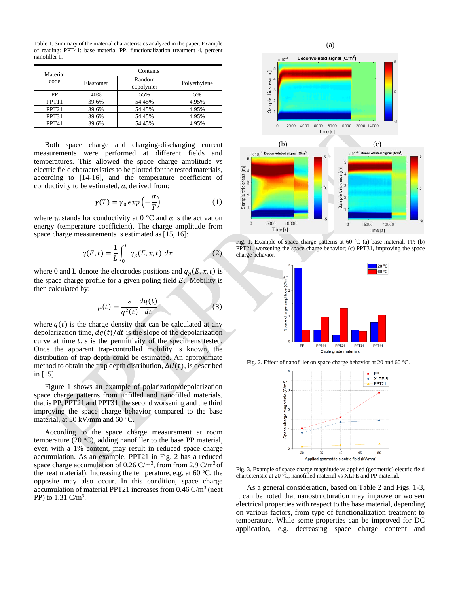Table 1. Summary of the material characteristics analyzed in the paper. Example of reading: PPT41: base material PP, functionalization treatment 4, percent nanofiller 1.

| Material<br>code  | Contents  |                     |              |  |  |
|-------------------|-----------|---------------------|--------------|--|--|
|                   | Elastomer | Random<br>copolymer | Polyethylene |  |  |
| PP                | 40%       | 55%                 | 5%           |  |  |
| PPT <sub>11</sub> | 39.6%     | 54.45%              | 4.95%        |  |  |
| PPT <sub>21</sub> | 39.6%     | 54.45%              | 4.95%        |  |  |
| PPT31             | 39.6%     | 54.45%              | 4.95%        |  |  |
| PPT41             | 39.6%     | 54.45%              | 4.95%        |  |  |

Both space charge and charging-discharging current measurements were performed at different fields and temperatures. This allowed the space charge amplitude vs electric field characteristics to be plotted for the tested materials, according to [14-16], and the temperature coefficient of conductivity to be estimated, *α*, derived from:

$$
\gamma(T) = \gamma_0 \exp\left(-\frac{\alpha}{T}\right) \tag{1}
$$

where  $\gamma_0$  stands for conductivity at 0 °C and  $\alpha$  is the activation energy (temperature coefficient). The charge amplitude from space charge measurements is estimated as [15, 16]:

$$
q(E,t) = \frac{1}{L} \int_0^L |q_p(E,x,t)| dx \qquad (2)
$$

where 0 and L denote the electrodes positions and  $q_p(E, x, t)$  is the space charge profile for a given poling field  $E$ . Mobility is then calculated by:

$$
\mu(t) = \frac{\varepsilon}{q^2(t)} \frac{dq(t)}{dt} \tag{3}
$$

where  $q(t)$  is the charge density that can be calculated at any depolarization time,  $dq(t)/dt$  is the slope of the depolarization curve at time  $t$ ,  $\varepsilon$  is the permittivity of the specimens tested. Once the apparent trap-controlled mobility is known, the distribution of trap depth could be estimated. An approximate method to obtain the trap depth distribution,  $\Delta U(t)$ , is described in [15].

Figure 1 shows an example of polarization/depolarization space charge patterns from unfilled and nanofilled materials, that is PP, PPT21 and PPT31, the second worsening and the third improving the space charge behavior compared to the base material, at 50 kV/mm and 60 °C.

According to the space charge measurement at room temperature (20  $^{\circ}$ C), adding nanofiller to the base PP material, even with a 1% content, may result in reduced space charge accumulation. As an example, PPT21 in Fig. 2 has a reduced space charge accumulation of  $0.26 \text{ C/m}^3$ , from from 2.9  $\text{C/m}^3$  of the neat material). Increasing the temperature, e.g. at 60  $\degree$ C, the opposite may also occur. In this condition, space charge accumulation of material PPT21 increases from  $0.46$  C/m<sup>3</sup> (neat PP) to  $1.31 \text{ C/m}^3$ .



Fig. 1. Example of space charge patterns at 60 °C (a) base material, PP; (b) PPT21, worsening the space charge behavior; (c) PPT31, improving the space charge behavior.



Fig. 2. Effect of nanofiller on space charge behavior at 20 and 60 °C.



Fig. 3. Example of space charge magnitude vs applied (geometric) electric field characteristic at 20 °C, nanofilled material vs XLPE and PP material.

As a general consideration, based on Table 2 and Figs. 1-3, it can be noted that nanostructuration may improve or worsen electrical properties with respect to the base material, depending on various factors, from type of functionalization treatment to temperature. While some properties can be improved for DC application, e.g. decreasing space charge content and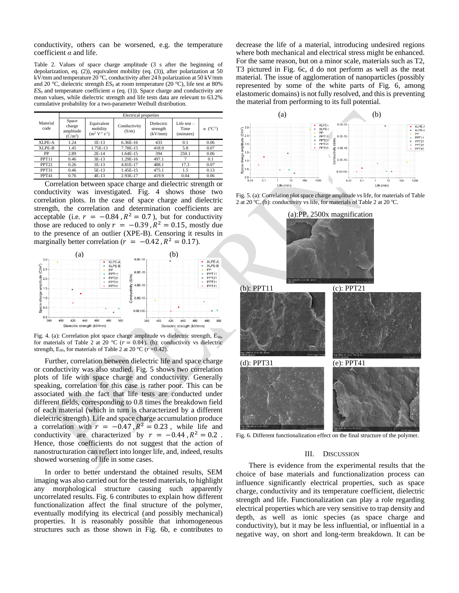conductivity, others can be worsened, e.g. the temperature coefficient *α* and life.

Table 2. Values of space charge amplitude (3 s after the beginning of depolarization, eq. (2)), equivalent mobility (eq. (3)), after polarization at 50 kV/mm and temperature 20 °C, conductivity after 24 h polarization at 50 kV/mm and 20  $\degree$ C, dielectric strength  $ES_0$  at room temperature (20  $\degree$ C), life test at 80%  $ES_0$  and temperature coefficient  $\alpha$  (eq. (1)). Space charge and conductivity are mean values, while dielectric strength and life tests data are relevant to 63.2% cumulative probability for a two-parameter Weibull distribution.

|                   | Electrical properties                     |                                                 |                       |                                   |                                    |                              |  |
|-------------------|-------------------------------------------|-------------------------------------------------|-----------------------|-----------------------------------|------------------------------------|------------------------------|--|
| Material<br>code  | Space<br>charge<br>amplitude<br>$(C/m^3)$ | Equivalent<br>mobility<br>$(m^2 V^{-1} s^{-1})$ | Conductivity<br>(S/m) | Dielectric<br>strength<br>(kV/mm) | Life test $-$<br>Time<br>(minutes) | $\alpha$ (°C <sup>-1</sup> ) |  |
| <b>XLPE-A</b>     | 1.24                                      | $1E-13$                                         | 6.36E-16              | 433                               | 0.1                                | 0.06                         |  |
| XLPE-B            | 1.45                                      | 1.75E-13                                        | 7.78E-15              | 418.9                             | 5.8                                | 0.07                         |  |
| PP                | 2.89                                      | $2E-14$                                         | 1.64E-15              | 394                               | 250.1                              | 0.06                         |  |
| PPT11             | 0.46                                      | $3E-13$                                         | 1.29E-16              | 497.1                             |                                    | 0.1                          |  |
| PPT <sub>21</sub> | 0.26                                      | $1E-13$                                         | 4.81E-17              | 488.1                             | 17.3                               | 0.07                         |  |
| PPT31             | 0.46                                      | 5E-13                                           | 1.45E-15              | 475.1                             | 1.5                                | 0.13                         |  |
| PPT41             | 0.76                                      | $4E-13$                                         | 2.93E-17              | 419.9                             | 0.04                               | 0.06                         |  |

Correlation between space charge and dielectric strength or conductivity was investigated. Fig. 4 shows those two correlation plots. In the case of space charge and dielectric strength, the correlation and determination coefficients are acceptable (i.e.  $r = -0.84$ ,  $R^2 = 0.7$ ), but for conductivity those are reduced to only  $r = -0.39$ ,  $R^2 = 0.15$ , mostly due to the presence of an outlier (XPE-B). Censoring it results in marginally better correlation ( $r = -0.42$ ,  $R^2 = 0.17$ ).



Fig. 4. (a): Correlation plot space charge amplitude vs dielectric strength,  $E_{50}$ , for materials of Table 2 at 20 °C ( $r = 0.84$ ). (b): conductivity vs dielectric strength, E<sub>S0</sub>, for materials of Table 2 at 20 °C ( $r = 0.42$ ).

Further, correlation between dielectric life and space charge or conductivity was also studied. Fig. 5 shows two correlation plots of life with space charge and conductivity. Generally speaking, correlation for this case is rather poor. This can be associated with the fact that life tests are conducted under different fields, corresponding to 0.8 times the breakdown field of each material (which in turn is characterized by a different dielectric strength). Life and space charge accumulation produce a correlation with  $r = -0.47$ ,  $R^2 = 0.23$ , while life and conductivity are characterized by  $r = -0.44$ ,  $R^2 = 0.2$ . Hence, those coefficients do not suggest that the action of nanostructuration can reflect into longer life, and, indeed, results showed worsening of life in some cases.

In order to better understand the obtained results, SEM imaging was also carried out for the tested materials, to highlight any morphological structure causing such apparently uncorrelated results. Fig. 6 contributes to explain how different functionalization affect the final structure of the polymer, eventually modifying its electrical (and possibly mechanical) properties. It is reasonably possible that inhomogeneous structures such as those shown in Fig. 6b, e contributes to

decrease the life of a material, introducing undesired regions where both mechanical and electrical stress might be enhanced. For the same reason, but on a minor scale, materials such as T2, T3 pictured in Fig. 6c, d do not perform as well as the neat material. The issue of agglomeration of nanoparticles (possibly represented by some of the white parts of Fig. 6, among elastomeric domains) is not fully resolved, and this is preventing the material from performing to its full potential.



Fig. 5. (a): Correlation plot space charge amplitude vs life, for materials of Table 2 at 20 °C. (b): conductivity vs life, for materials of Table 2 at 20 °C.



Fig. 6. Different functionalization effect on the final structure of the polymer.

#### III. DISCUSSION

There is evidence from the experimental results that the choice of base materials and functionalization process can influence significantly electrical properties, such as space charge, conductivity and its temperature coefficient, dielectric strength and life. Functionalization can play a role regarding electrical properties which are very sensitive to trap density and depth, as well as ionic species (as space charge and conductivity), but it may be less influential, or influential in a negative way, on short and long-term breakdown. It can be